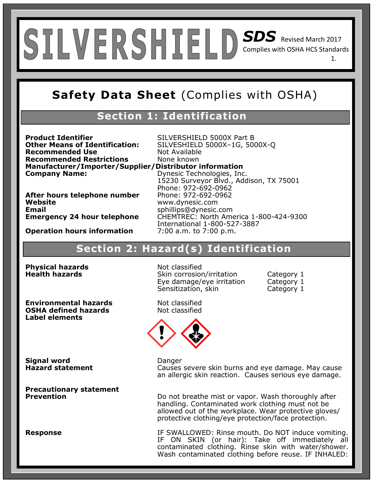# *SDS* Revised March 2017 Complies with OSHA HCS Standards 1.

# **Safety Data Sheet** (Complies with OSHA)

### **Section 1: Identification**

**Product Identifier** SILVERSHIELD 5000X Part B<br>**Other Means of Identification:** SILVESHIELD 5000X-1G, 500 **Recommended Use** Not Available **Recommended Restrictions** None known **Manufacturer/Importer/Supplier/Distributor information Company Name:** Dynesic Technologies, Inc.

**Other Means of Identification:** SILVESHIELD 5000X–1G, 5000X-Q 15230 Surveyor Blvd., Addison, TX 75001 Phone: 972-692-0962 **Website** www.dynesic.com **Email** sphillips@dynesic.com<br>**Emergency 24 hour telephone** CHEMTREC: North Ame **Emergency 24 hour telephone** CHEMTREC: North America 1-800-424-9300 International 1-800-527-3887

**Operation hours information** 7:00 a.m. to 7:00 p.m.

**After hours telephone number** 

### **Section 2: Hazard(s) Identification**

**Physical hazards**<br> **Health hazards** Skin corrosion

**Environmental hazards** entitled and the Not classified<br> **OSHA defined hazards** entitled Not classified **OSHA defined hazards Label elements**

**Skin corrosion/irritation Category 1** Eye damage/eye irritation Category 1 Sensitization, skin Category 1



**Signal word Danger** 

**Precautionary statement** 

**Hazard statement Causes severe skin burns and eye damage. May cause** an allergic skin reaction. Causes serious eye damage.

> Do not breathe mist or vapor. Wash thoroughly after handling. Contaminated work clothing must not be allowed out of the workplace. Wear protective gloves/ protective clothing/eye protection/face protection.

**Response IF SWALLOWED: Rinse mouth. Do NOT induce vomiting.** IF ON SKIN (or hair): Take off immediately all contaminated clothing. Rinse skin with water/shower. Wash contaminated clothing before reuse. IF INHALED: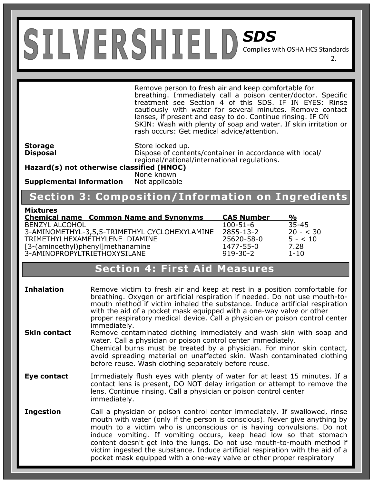Remove person to fresh air and keep comfortable for breathing. Immediately call a poison center/doctor. Specific treatment see Section 4 of this SDS. IF IN EYES: Rinse cautiously with water for several minutes. Remove contact lenses, if present and easy to do. Continue rinsing. IF ON SKIN: Wash with plenty of soap and water. If skin irritation or rash occurs: Get medical advice/attention.

2.

**Storage** Store locked up. **Disposal Dispose of contents/container in accordance with local/** regional/national/international regulations.

**Hazard(s) not otherwise classified (HNOC)** None known

**Supplemental information** Not applicable

# **Section 3: Composition/Information on Ingredients**

#### **Mixtures**

| <b>Chemical name Common Name and Synonyms</b> | <b>CAS Number</b> | %          |
|-----------------------------------------------|-------------------|------------|
| <b>BENZYL ALCOHOL</b>                         | $100 - 51 - 6$    | 35-45      |
| 3-AMINOMETHYL-3,5,5-TRIMETHYL CYCLOHEXYLAMINE | 2855-13-2         | $20 - 30$  |
| TRIMETHYLHEXAMETHYLENE DIAMINE                | 25620-58-0        | $5 - < 10$ |
| [3-(aminoethyl)phenyl]methanamine             | 1477-55-0         | 7.28       |
| 3-AMINOPROPYLTRIETHOXYSILANE                  | $919 - 30 - 2$    | $1 - 10$   |

### **Section 4: First Aid Measures**

**Inhalation** Remove victim to fresh air and keep at rest in a position comfortable for breathing. Oxygen or artificial respiration if needed. Do not use mouth-tomouth method if victim inhaled the substance. Induce artificial respiration with the aid of a pocket mask equipped with a one-way valve or other proper respiratory medical device. Call a physician or poison control center immediately.

- **Skin contact** Remove contaminated clothing immediately and wash skin with soap and water. Call a physician or poison control center immediately. Chemical burns must be treated by a physician. For minor skin contact, avoid spreading material on unaffected skin. Wash contaminated clothing before reuse. Wash clothing separately before reuse.
- **Eye contact** Immediately flush eyes with plenty of water for at least 15 minutes. If a contact lens is present, DO NOT delay irrigation or attempt to remove the lens. Continue rinsing. Call a physician or poison control center immediately.
- **Ingestion Call a physician or poison control center immediately. If swallowed, rinse** mouth with water (only if the person is conscious). Never give anything by mouth to a victim who is unconscious or is having convulsions. Do not induce vomiting. If vomiting occurs, keep head low so that stomach content doesn't get into the lungs. Do not use mouth-to-mouth method if victim ingested the substance. Induce artificial respiration with the aid of a pocket mask equipped with a one-way valve or other proper respiratory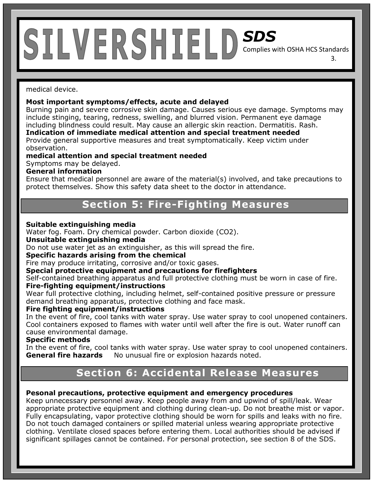medical device.

#### **Most important symptoms/effects, acute and delayed**

Burning pain and severe corrosive skin damage. Causes serious eye damage. Symptoms may include stinging, tearing, redness, swelling, and blurred vision. Permanent eye damage including blindness could result. May cause an allergic skin reaction. Dermatitis. Rash.

3.

**Indication of immediate medical attention and special treatment needed**  Provide general supportive measures and treat symptomatically. Keep victim under

observation.

**medical attention and special treatment needed** 

Symptoms may be delayed.

#### **General information**

Ensure that medical personnel are aware of the material(s) involved, and take precautions to protect themselves. Show this safety data sheet to the doctor in attendance.

### **Section 5: Fire-Fighting Measures**

#### **Suitable extinguishing media**

Water fog. Foam. Dry chemical powder. Carbon dioxide (CO2).

#### **Unsuitable extinguishing media**

Do not use water jet as an extinguisher, as this will spread the fire.

#### **Specific hazards arising from the chemical**

Fire may produce irritating, corrosive and/or toxic gases.

#### **Special protective equipment and precautions for firefighters**

Self-contained breathing apparatus and full protective clothing must be worn in case of fire. **Fire-fighting equipment/instructions** 

# Wear full protective clothing, including helmet, self-contained positive pressure or pressure

demand breathing apparatus, protective clothing and face mask.

#### **Fire fighting equipment/instructions**

In the event of fire, cool tanks with water spray. Use water spray to cool unopened containers. Cool containers exposed to flames with water until well after the fire is out. Water runoff can cause environmental damage.

#### **Specific methods**

In the event of fire, cool tanks with water spray. Use water spray to cool unopened containers. **General fire hazards** No unusual fire or explosion hazards noted.

## **Section 6: Accidental Release Measures**

#### **Pesonal precautions, protective equipment and emergency procedures**

Keep unnecessary personnel away. Keep people away from and upwind of spill/leak. Wear appropriate protective equipment and clothing during clean-up. Do not breathe mist or vapor. Fully encapsulating, vapor protective clothing should be worn for spills and leaks with no fire. Do not touch damaged containers or spilled material unless wearing appropriate protective clothing. Ventilate closed spaces before entering them. Local authorities should be advised if significant spillages cannot be contained. For personal protection, see section 8 of the SDS.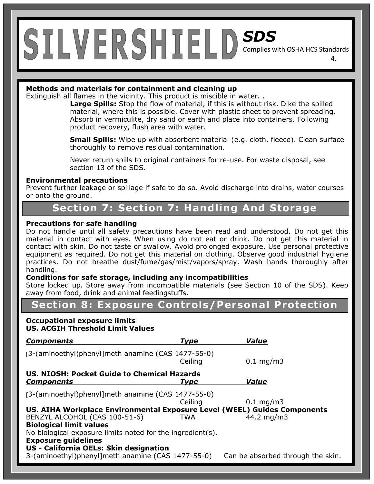#### **Methods and materials for containment and cleaning up**

Extinguish all flames in the vicinity. This product is miscible in water. .

**Large Spills:** Stop the flow of material, if this is without risk. Dike the spilled material, where this is possible. Cover with plastic sheet to prevent spreading. Absorb in vermiculite, dry sand or earth and place into containers. Following product recovery, flush area with water.

4.

**Small Spills:** Wipe up with absorbent material (e.g. cloth, fleece). Clean surface thoroughly to remove residual contamination.

Never return spills to original containers for re-use. For waste disposal, see section 13 of the SDS.

#### **Environmental precautions**

Prevent further leakage or spillage if safe to do so. Avoid discharge into drains, water courses or onto the ground.

### **Section 7: Section 7: Handling And Storage**

#### **Precautions for safe handling**

Do not handle until all safety precautions have been read and understood. Do not get this material in contact with eyes. When using do not eat or drink. Do not get this material in contact with skin. Do not taste or swallow. Avoid prolonged exposure. Use personal protective equipment as required. Do not get this material on clothing. Observe good industrial hygiene practices. Do not breathe dust/fume/gas/mist/vapors/spray. Wash hands thoroughly after handling.

#### **Conditions for safe storage, including any incompatibilities**

Store locked up. Store away from incompatible materials (see Section 10 of the SDS). Keep away from food, drink and animal feedingstuffs.

### **Section 8: Exposure Controls/Personal Protection**

#### **Occupational exposure limits US. ACGIH Threshold Limit Values**

| <b>Components</b>                                                        | Type        | <b>Value</b>                      |
|--------------------------------------------------------------------------|-------------|-----------------------------------|
| [3-(aminoethyl)phenyl]meth anamine (CAS 1477-55-0)                       | Ceiling     | $0.1 \,\mathrm{mg/m}$             |
| US. NIOSH: Pocket Guide to Chemical Hazards<br><b>Components</b>         | <b>Type</b> | <b>Value</b>                      |
| [3-(aminoethyl)phenyl]meth anamine (CAS 1477-55-0)                       | Ceiling     | $0.1 \,\mathrm{mg/m}$             |
| US. AIHA Workplace Environmental Exposure Level (WEEL) Guides Components |             |                                   |
| BENZYL ALCOHOL (CAS 100-51-6)                                            | TWA         | 44.2 mg/m3                        |
| <b>Biological limit values</b>                                           |             |                                   |
| No biological exposure limits noted for the ingredient(s).               |             |                                   |
| <b>Exposure guidelines</b>                                               |             |                                   |
| US - California OELs: Skin designation                                   |             |                                   |
| 3-(aminoethyl)phenyl]meth anamine (CAS 1477-55-0)                        |             | Can be absorbed through the skin. |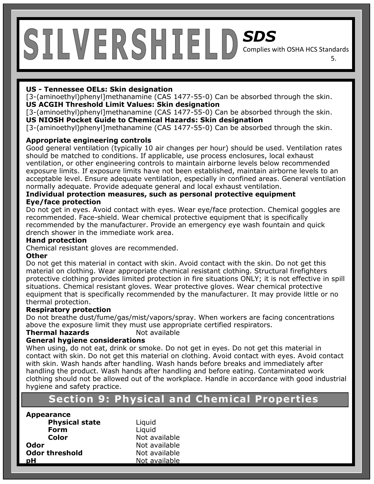# *SDS*

Complies with OSHA HCS Standards 5.

#### **US - Tennessee OELs: Skin designation**

[3-(aminoethyl)phenyl]methanamine (CAS 1477-55-0) Can be absorbed through the skin. **US ACGIH Threshold Limit Values: Skin designation** 

[3-(aminoethyl)phenyl]methanamine (CAS 1477-55-0) Can be absorbed through the skin. **US NIOSH Pocket Guide to Chemical Hazards: Skin designation** 

[3-(aminoethyl)phenyl]methanamine (CAS 1477-55-0) Can be absorbed through the skin.

#### **Appropriate engineering controls**

Good general ventilation (typically 10 air changes per hour) should be used. Ventilation rates should be matched to conditions. If applicable, use process enclosures, local exhaust ventilation, or other engineering controls to maintain airborne levels below recommended exposure limits. If exposure limits have not been established, maintain airborne levels to an acceptable level. Ensure adequate ventilation, especially in confined areas. General ventilation normally adequate. Provide adequate general and local exhaust ventilation.

#### **Individual protection measures, such as personal protective equipment Eye/face protection**

Do not get in eyes. Avoid contact with eyes. Wear eye/face protection. Chemical goggles are recommended. Face-shield. Wear chemical protective equipment that is specifically recommended by the manufacturer. Provide an emergency eye wash fountain and quick drench shower in the immediate work area.

#### **Hand protection**

Chemical resistant gloves are recommended.

#### **Other**

Do not get this material in contact with skin. Avoid contact with the skin. Do not get this material on clothing. Wear appropriate chemical resistant clothing. Structural firefighters protective clothing provides limited protection in fire situations ONLY; it is not effective in spill situations. Chemical resistant gloves. Wear protective gloves. Wear chemical protective equipment that is specifically recommended by the manufacturer. It may provide little or no thermal protection.

#### **Respiratory protection**

Do not breathe dust/fume/gas/mist/vapors/spray. When workers are facing concentrations above the exposure limit they must use appropriate certified respirators.

#### **Thermal hazards Not available**

#### **General hygiene considerations**

When using, do not eat, drink or smoke. Do not get in eyes. Do not get this material in contact with skin. Do not get this material on clothing. Avoid contact with eyes. Avoid contact with skin. Wash hands after handling. Wash hands before breaks and immediately after handling the product. Wash hands after handling and before eating. Contaminated work clothing should not be allowed out of the workplace. Handle in accordance with good industrial hygiene and safety practice.

# **Section8: Exposure Controls/Personal Protection Section 9: Physical and Chemical Properties**

#### **Appearance**

**Physical state** Liquid **Form** Liquid **Color** Not available **Odor** Not available **Odor threshold** Not available **pH** Not available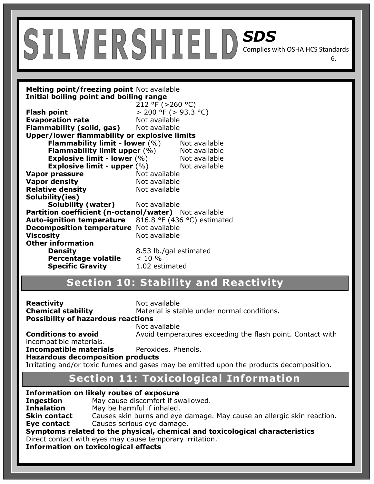**Melting point/freezing point** Not available **Initial boiling point and boiling range** 

|                                                                                        | 212 °F ( $>$ 260 °C)      |               |
|----------------------------------------------------------------------------------------|---------------------------|---------------|
| <b>Flash point</b>                                                                     | $> 200$ °F ( $> 93.3$ °C) |               |
| <b>Evaporation rate</b>                                                                | Not available             |               |
| <b>Flammability (solid, gas)</b> Not available                                         |                           |               |
| Upper/lower flammability or explosive limits                                           |                           |               |
| <b>Flammability limit - lower (%)</b> Not available                                    |                           |               |
| <b>Flammability limit upper (%)</b> Not available                                      |                           |               |
| Explosive limit - lower $(\%)$                                                         |                           | Not available |
| <b>Explosive limit - upper</b> $(\%)$ Not available                                    |                           |               |
| <b>Vapor pressure</b>                                                                  | Not available             |               |
| <b>Vapor density</b>                                                                   | Not available             |               |
| <b>Relative density</b>                                                                | Not available             |               |
| Solubility(ies)                                                                        |                           |               |
| <b>Solubility (water)</b> Not available                                                |                           |               |
| Partition coefficient (n-octanol/water) Not available                                  |                           |               |
| <b>Auto-ignition temperature</b> 816.8 $\textdegree$ F (436 $\textdegree$ C) estimated |                           |               |
| <b>Decomposition temperature</b> Not available                                         |                           |               |
| <b>Viscosity</b>                                                                       | Not available             |               |
| <b>Other information</b>                                                               |                           |               |
| <b>Density</b>                                                                         | 8.53 lb./gal estimated    |               |
| <b>Percentage volatile</b> $\leq 10\%$                                                 |                           |               |
| <b>Specific Gravity</b>                                                                | 1.02 estimated            |               |

# **Section 10: Stability and Reactivity**

**Reactivity Not available Possibility of hazardous reactions** 

**Chemical stability** Material is stable under normal conditions.

6.

**Conditions to avoid** Avoid temperatures exceeding the flash point. Contact with

Not available

incompatible materials.

**Incompatible materials** Peroxides. Phenols.

**Hazardous decomposition products** 

Irritating and/or toxic fumes and gases may be emitted upon the products decomposition.

# **Section8: Exposure Controls/Personal Protection Section 11: Toxicological Information**

|                   | <b>Information on likely routes of exposure</b>                              |
|-------------------|------------------------------------------------------------------------------|
| <b>Ingestion</b>  | May cause discomfort if swallowed.                                           |
| <b>Inhalation</b> | May be harmful if inhaled.                                                   |
| Skin contact      | Causes skin burns and eye damage. May cause an allergic skin reaction.       |
| Eye contact       | Causes serious eye damage.                                                   |
|                   | Symptoms related to the physical, chemical and toxicological characteristics |
|                   | Direct contact with eyes may cause temporary irritation.                     |
|                   | <b>Information on toxicological effects</b>                                  |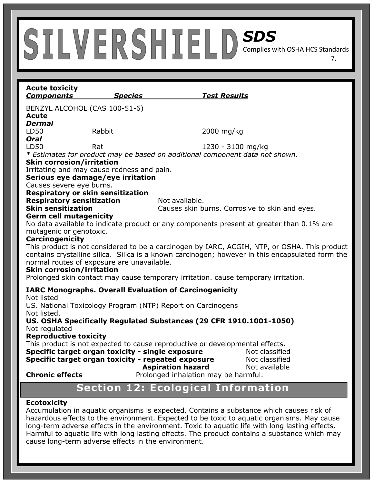**Acute toxicity**  *Components Species Test Results*  BENZYL ALCOHOL (CAS 100-51-6) **Acute**  *Dermal*  LD50 Rabbit 2000 mg/kg *Oral* LD50 Rat 1230 - 3100 mg/kg *\* Estimates for product may be based on additional component data not shown.* **Skin corrosion/irritation**  Irritating and may cause redness and pain. **Serious eye damage/eye irritation**  Causes severe eye burns. **Respiratory or skin sensitization Respiratory sensitization** Not available. **Skin sensitization Causes skin burns. Corrosive to skin and eyes. Germ cell mutagenicity**  No data available to indicate product or any components present at greater than 0.1% are mutagenic or genotoxic. **Carcinogenicity**  This product is not considered to be a carcinogen by IARC, ACGIH, NTP, or OSHA. This product contains crystalline silica. Silica is a known carcinogen; however in this encapsulated form the normal routes of exposure are unavailable. **Skin corrosion/irritation**  Prolonged skin contact may cause temporary irritation. cause temporary irritation. **IARC Monographs. Overall Evaluation of Carcinogenicity**  Not listed US. National Toxicology Program (NTP) Report on Carcinogens Not listed. **US. OSHA Specifically Regulated Substances (29 CFR 1910.1001-1050)**  Not regulated **Reproductive toxicity**  This product is not expected to cause reproductive or developmental effects. **Specific target organ toxicity - single exposure Mot classified Specific target organ toxicity - repeated exposure Mot classified Aspiration hazard** Not available **Chronic effects** Prolonged inhalation may be harmful.

7.

# **Section 12: Ecological Information**

#### **Ecotoxicity**

Accumulation in aquatic organisms is expected. Contains a substance which causes risk of hazardous effects to the environment. Expected to be toxic to aquatic organisms. May cause long-term adverse effects in the environment. Toxic to aquatic life with long lasting effects. Harmful to aquatic life with long lasting effects. The product contains a substance which may cause long-term adverse effects in the environment.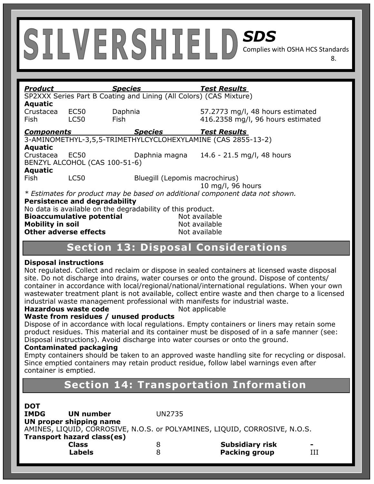| <b>Product</b>                       |             | <b>Species</b>                                                     | <b>Test Results</b>                                                          |
|--------------------------------------|-------------|--------------------------------------------------------------------|------------------------------------------------------------------------------|
|                                      |             | SP2XXX Series Part B Coating and Lining (All Colors) (CAS Mixture) |                                                                              |
| <b>Aquatic</b>                       |             |                                                                    |                                                                              |
| Crustacea                            | <b>EC50</b> | Daphnia                                                            | 57.2773 mg/l, 48 hours estimated                                             |
| Fish                                 | <b>LC50</b> | Fish.                                                              | 416.2358 mg/l, 96 hours estimated                                            |
| <b>Components</b>                    |             | <b>Species</b>                                                     | <b>Test Results</b>                                                          |
|                                      |             |                                                                    | 3-AMINOMETHYL-3,5,5-TRIMETHYLCYCLOHEXYLAMINE (CAS 2855-13-2)                 |
| <b>Aquatic</b>                       |             |                                                                    |                                                                              |
| Crustacea                            | EC50        | Daphnia magna                                                      | 14.6 - 21.5 mg/l, 48 hours                                                   |
|                                      |             | BENZYL ALCOHOL (CAS 100-51-6)                                      |                                                                              |
| <b>Aquatic</b>                       |             |                                                                    |                                                                              |
| Fish                                 | <b>LC50</b> |                                                                    | Bluegill (Lepomis macrochirus)                                               |
|                                      |             |                                                                    | 10 mg/l, 96 hours                                                            |
|                                      |             |                                                                    | * Estimates for product may be based on additional component data not shown. |
| <b>Persistence and degradability</b> |             |                                                                    |                                                                              |
|                                      |             | No data is available on the degradability of this product.         |                                                                              |
| Rioaccumulative notential            |             |                                                                    | Alot availahla                                                               |

8.

| <b>Bioaccumulative potential</b> | Not available |
|----------------------------------|---------------|
| <b>Mobility in soil</b>          | Not available |
| <b>Other adverse effects</b>     | Not available |

## **Section 13: Disposal Considerations**

#### **Disposal instructions**

Not regulated. Collect and reclaim or dispose in sealed containers at licensed waste disposal site. Do not discharge into drains, water courses or onto the ground. Dispose of contents/ container in accordance with local/regional/national/international regulations. When your own wastewater treatment plant is not available, collect entire waste and then charge to a licensed industrial waste management professional with manifests for industrial waste.

#### **Hazardous waste code** Not applicable

#### **Waste from residues / unused products**

Dispose of in accordance with local regulations. Empty containers or liners may retain some product residues. This material and its container must be disposed of in a safe manner (see: Disposal instructions). Avoid discharge into water courses or onto the ground.

#### **Contaminated packaging**

i

Empty containers should be taken to an approved waste handling site for recycling or disposal. Since emptied containers may retain product residue, follow label warnings even after container is emptied.

# **Section 14: Transportation Information**

| <b>DOT</b>                 |   |                                                                            |                          |
|----------------------------|---|----------------------------------------------------------------------------|--------------------------|
| <b>IMDG</b><br>UN number   |   | UN2735                                                                     |                          |
| UN proper shipping name    |   |                                                                            |                          |
|                            |   | AMINES, LIQUID, CORROSIVE, N.O.S. or POLYAMINES, LIQUID, CORROSIVE, N.O.S. |                          |
| Transport hazard class(es) |   |                                                                            |                          |
| <b>Class</b>               | 8 | <b>Subsidiary risk</b>                                                     | $\overline{\phantom{a}}$ |
| <b>Labels</b>              | 8 | <b>Packing group</b>                                                       |                          |
|                            |   |                                                                            |                          |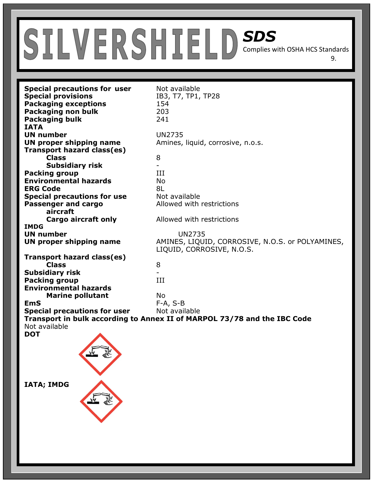**Special precautions for user** Not available **Special provisions** IB3, T7, TP1, TP28 **Packaging exceptions** 154 **Packaging non bulk** 203 **Packaging bulk** 241 **IATA UN number** UN2735 **UN proper shipping name** Amines, liquid, corrosive, n.o.s. **Transport hazard class(es) Class** 8 **Subsidiary risk** - **Packing group 111 Environmental hazards** No **ERG Code** 8L **Special precautions for use** Not available **Passenger and cargo Allowed with restrictions aircraft Cargo aircraft only Allowed with restrictions IMDG UN number UN2735 UN proper shipping name** AMINES, LIQUID, CORROSIVE, N.O.S. or POLYAMINES, LIQUID, CORROSIVE, N.O.S. **Transport hazard class(es) Class** 8 **Subsidiary risk** - **Packing group** III **Environmental hazards Marine pollutant No EmS** F-A, S-B **Special precautions for user** Not available **Transport in bulk according to Annex II of MARPOL 73/78 and the IBC Code**  Not available **DOT** 

9.

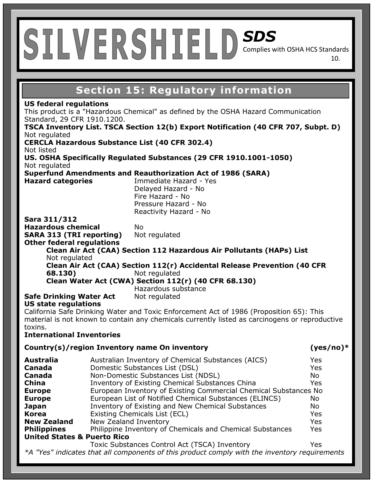# *SDS*

Complies with OSHA HCS Standards 10.

# **Section 15: Regulatory information**

#### **US federal regulations**

This product is a "Hazardous Chemical" as defined by the OSHA Hazard Communication Standard, 29 CFR 1910.1200.

**TSCA Inventory List. TSCA Section 12(b) Export Notification (40 CFR 707, Subpt. D)** Not regulated **CERCLA Hazardous Substance List (40 CFR 302.4)**  Not listed

**US. OSHA Specifically Regulated Substances (29 CFR 1910.1001-1050)**  Not regulated

**Superfund Amendments and Reauthorization Act of 1986 (SARA)** 

**Hazard categories** Immediate Hazard - Yes Delayed Hazard - No Fire Hazard - No Pressure Hazard - No Reactivity Hazard - No

#### **Sara 311/312**

**Hazardous chemical** No **SARA 313 (TRI reporting)** Not regulated **Other federal regulations** 

**Clean Air Act (CAA) Section 112 Hazardous Air Pollutants (HAPs) List**  Not regulated

**Clean Air Act (CAA) Section 112(r) Accidental Release Prevention (40 CFR 68.130)** Not regulated

**Clean Water Act (CWA) Section 112(r) (40 CFR 68.130)**  Hazardous substance

**Safe Drinking Water Act** Not regulated

#### **US state regulations**

California Safe Drinking Water and Toxic Enforcement Act of 1986 (Proposition 65): This material is not known to contain any chemicals currently listed as carcinogens or reproductive toxins.

#### **International Inventories**

#### **Country(s)/region Inventory name On inventory (yes/no)\***

| <b>Australia</b>                       | Australian Inventory of Chemical Substances (AICS)                                               | Yes        |
|----------------------------------------|--------------------------------------------------------------------------------------------------|------------|
| Canada                                 | Domestic Substances List (DSL)                                                                   | <b>Yes</b> |
| Canada                                 | Non-Domestic Substances List (NDSL)                                                              | No         |
| <b>China</b>                           | Inventory of Existing Chemical Substances China                                                  | <b>Yes</b> |
| <b>Europe</b>                          | European Inventory of Existing Commercial Chemical Substances No                                 |            |
| <b>Europe</b>                          | European List of Notified Chemical Substances (ELINCS)                                           | No.        |
| Japan                                  | Inventory of Existing and New Chemical Substances                                                | No         |
| <b>Korea</b>                           | Existing Chemicals List (ECL)                                                                    | <b>Yes</b> |
| <b>New Zealand</b>                     | New Zealand Inventory                                                                            | <b>Yes</b> |
| <b>Philippines</b>                     | Philippine Inventory of Chemicals and Chemical Substances                                        | <b>Yes</b> |
| <b>United States &amp; Puerto Rico</b> |                                                                                                  |            |
|                                        | Toxic Substances Control Act (TSCA) Inventory                                                    | Yes        |
|                                        | $*$ N "Vec" indicates that all components of this product comply with the inventory requirements |            |

es that all components of this product comply with the inventory requirements